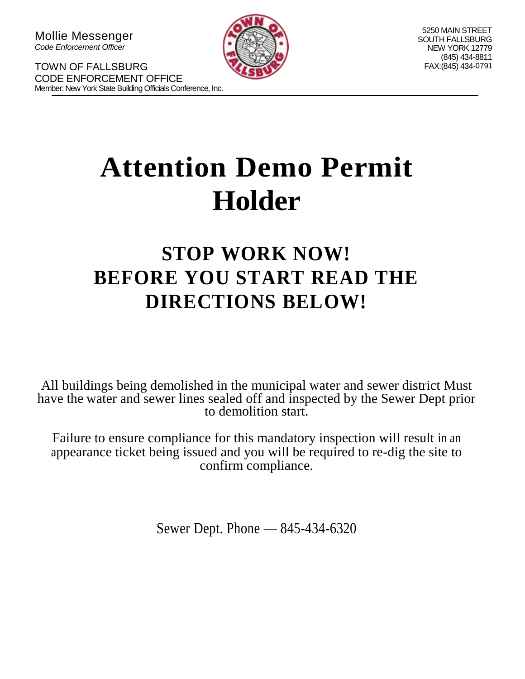TOWN OF FALLSBURG

CODE ENFORCEMENT OFFICE



5250 MAIN STREET SOUTH FALLSBURG NEW YORK 12779 (845) 434-8811 FAX:(845) 434 -0791

# **Attention Demo Permit Holder**

# **STOP WORK NOW! BEFORE YOU START READ THE DIRECTIONS BELOW!**

All buildings being demolished in the municipal water and sewer district Must have the water and sewer lines sealed off and inspected by the Sewer Dept prior to demolition start.

Failure to ensure compliance for this mandatory inspection will result in an appearance ticket being issued and you will be required to re-dig the site to confirm compliance.

Sewer Dept. Phone — 845-434-6320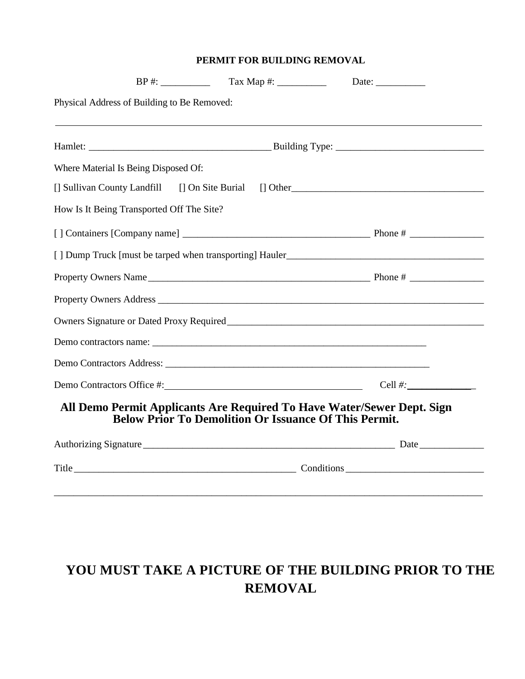#### **PERMIT FOR BUILDING REMOVAL**

| Physical Address of Building to Be Removed:                                                                                            |                |
|----------------------------------------------------------------------------------------------------------------------------------------|----------------|
|                                                                                                                                        |                |
| Where Material Is Being Disposed Of:                                                                                                   |                |
| [] Sullivan County Landfill [] On Site Burial                                                                                          | $\lceil$ Other |
| How Is It Being Transported Off The Site?                                                                                              |                |
|                                                                                                                                        |                |
|                                                                                                                                        |                |
|                                                                                                                                        |                |
| Property Owners Address                                                                                                                |                |
|                                                                                                                                        |                |
|                                                                                                                                        |                |
|                                                                                                                                        |                |
| Demo Contractors Office #: Cell #:                                                                                                     |                |
| All Demo Permit Applicants Are Required To Have Water/Sewer Dept. Sign<br><b>Below Prior To Demolition Or Issuance Of This Permit.</b> |                |
|                                                                                                                                        |                |
|                                                                                                                                        |                |
|                                                                                                                                        |                |

## **YOU MUST TAKE A PICTURE OF THE BUILDING PRIOR TO THE REMOVAL**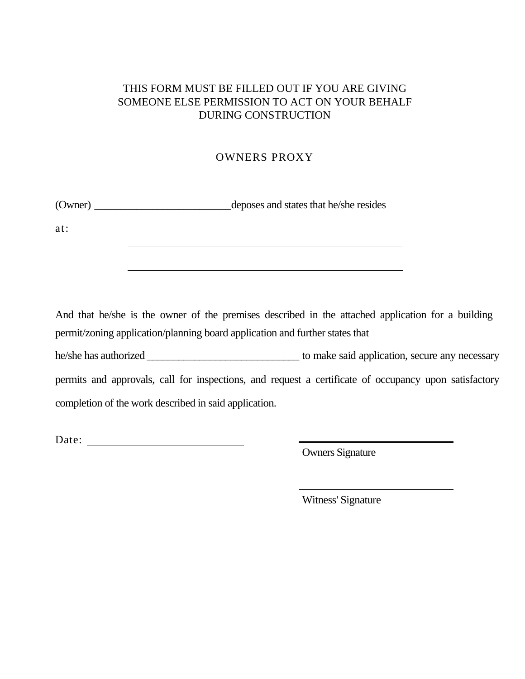#### THIS FORM MUST BE FILLED OUT IF YOU ARE GIVING SOMEONE ELSE PERMISSION TO ACT ON YOUR BEHALF DURING CONSTRUCTION

#### OWNERS PROXY

(Owner) \_\_\_\_\_\_\_\_\_\_\_\_\_\_\_\_\_\_\_\_\_\_\_\_\_\_deposes and states that he/she resides

at:

And that he/she is the owner of the premises described in the attached application for a building permit/zoning application/planning board application and further states that

he/she has authorized \_\_\_\_\_\_\_\_\_\_\_\_\_\_\_\_\_\_\_\_\_\_\_\_\_\_\_\_\_ to make said application, secure any necessary permits and approvals, call for inspections, and request a certificate of occupancy upon satisfactory completion of the work described in said application.

Date:

Owners Signature

Witness' Signature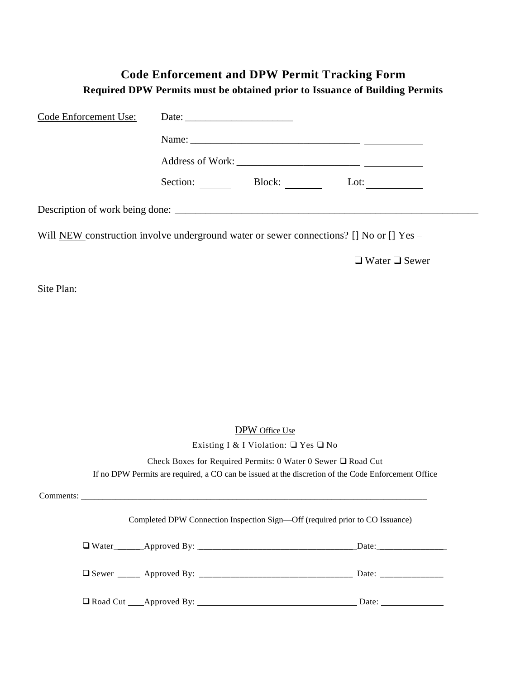#### **Code Enforcement and DPW Permit Tracking Form Required DPW Permits must be obtained prior to Issuance of Building Permits**

| Code Enforcement Use: |  |                                                              |                                                                                                     |
|-----------------------|--|--------------------------------------------------------------|-----------------------------------------------------------------------------------------------------|
|                       |  |                                                              |                                                                                                     |
|                       |  |                                                              |                                                                                                     |
|                       |  |                                                              | Section: Block: Lot:                                                                                |
|                       |  |                                                              |                                                                                                     |
|                       |  |                                                              | Will NEW construction involve underground water or sewer connections? [] No or [] Yes –             |
|                       |  |                                                              | $\Box$ Water $\Box$ Sewer                                                                           |
| Site Plan:            |  |                                                              |                                                                                                     |
|                       |  |                                                              |                                                                                                     |
|                       |  |                                                              |                                                                                                     |
|                       |  |                                                              |                                                                                                     |
|                       |  |                                                              |                                                                                                     |
|                       |  |                                                              |                                                                                                     |
|                       |  | <b>DPW</b> Office Use                                        |                                                                                                     |
|                       |  | Existing I & I Violation: $\Box$ Yes $\Box$ No               |                                                                                                     |
|                       |  | Check Boxes for Required Permits: 0 Water 0 Sewer □ Road Cut |                                                                                                     |
|                       |  |                                                              | If no DPW Permits are required, a CO can be issued at the discretion of the Code Enforcement Office |
|                       |  |                                                              |                                                                                                     |
|                       |  |                                                              | Completed DPW Connection Inspection Sign-Off (required prior to CO Issuance)                        |
|                       |  |                                                              |                                                                                                     |
|                       |  |                                                              |                                                                                                     |
|                       |  |                                                              | Date: $\frac{1}{\sqrt{1-\frac{1}{2}} \cdot \frac{1}{2}}$                                            |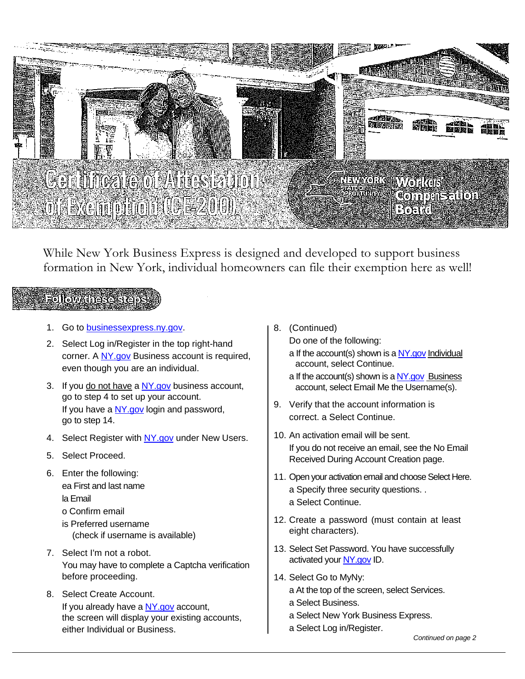

While New York Business Express is designed and developed to support business formation in New York, individual homeowners can file their exemption here as well!

### Follow dhese ste

- 1. Go to [businessexpress.ny.gov.](http://businessexpress.ny.gov/)
- 2. Select Log in/Register in the top right-hand corner. A [NY.gov](http://ny.gov/) Business account is required, even though you are an individual.
- 3. If you do not have a [NY.gov](http://ny.gov/) business account, go to step 4 to set up your account. If you have a [NY.gov](http://ny.gov/) login and password, go to step 14.
- 4. Select Register with [NY.gov](http://ny.gov/) under New Users.
- 5. Select Proceed.
- 6. Enter the following: ea First and last name la Email o Confirm email
	- is Preferred username (check if username is available)
- 7. Select I'm not a robot. You may have to complete a Captcha verification before proceeding.
- 8. Select Create Account. If you already have a [NY.gov](http://ny.gov/) account, the screen will display your existing accounts, either Individual or Business.

8. (Continued)

Do one of the following:

- a If the account(s) shown is [a NY.gov](http://ny.gov/) Individual account, select Continue.
- a If the account(s) shown is a [NY.gov](http://ny.gov/) Business account, select Email Me the Username(s).
- 9. Verify that the account information is correct. a Select Continue.
- 10. An activation email will be sent. If you do not receive an email, see the No Email Received During Account Creation page.
- 11. Open your activation email and choose Select Here. a Specify three security questions. . a Select Continue.
- 12. Create a password (must contain at least eight characters).
- 13. Select Set Password. You have successfully activated you[r NY.gov](http://ny.gov/) ID.
- 14. Select Go to MyNy:
	- a At the top of the screen, select Services.
	- a Select Business.
	- a Select New York Business Express.
	- a Select Log in/Register.